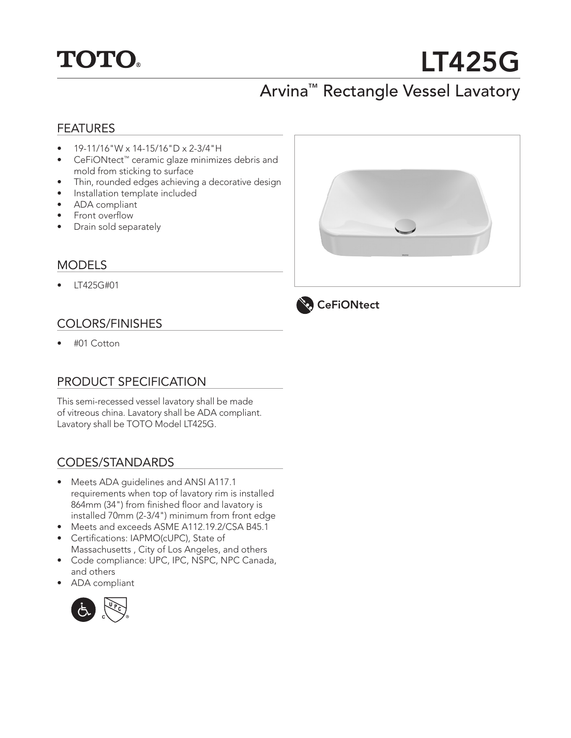

# LT425G

# Arvina™ Rectangle Vessel Lavatory

## FEATURES

- $19-11/16$ "W x 14-15/16"D x 2-3/4"H
- CeFiONtect™ ceramic glaze minimizes debris and mold from sticking to surface
- Thin, rounded edges achieving a decorative design
- Installation template included
- ADA compliant
- Front overflow
- Drain sold separately

### MODELS

• LT425G#01

# COLORS/FINISHES

• #01 Cotton

# PRODUCT SPECIFICATION

This semi-recessed vessel lavatory shall be made of vitreous china. Lavatory shall be ADA compliant. Lavatory shall be TOTO Model LT425G.

# CODES/STANDARDS

- Meets ADA guidelines and ANSI A117.1 requirements when top of lavatory rim is installed 864mm (34") from finished floor and lavatory is installed 70mm (2-3/4") minimum from front edge
- Meets and exceeds ASME A112.19.2/CSA B45.1
- Certifications: IAPMO(cUPC), State of Massachusetts , City of Los Angeles, and others
- Code compliance: UPC, IPC, NSPC, NPC Canada, and others
- ADA compliant